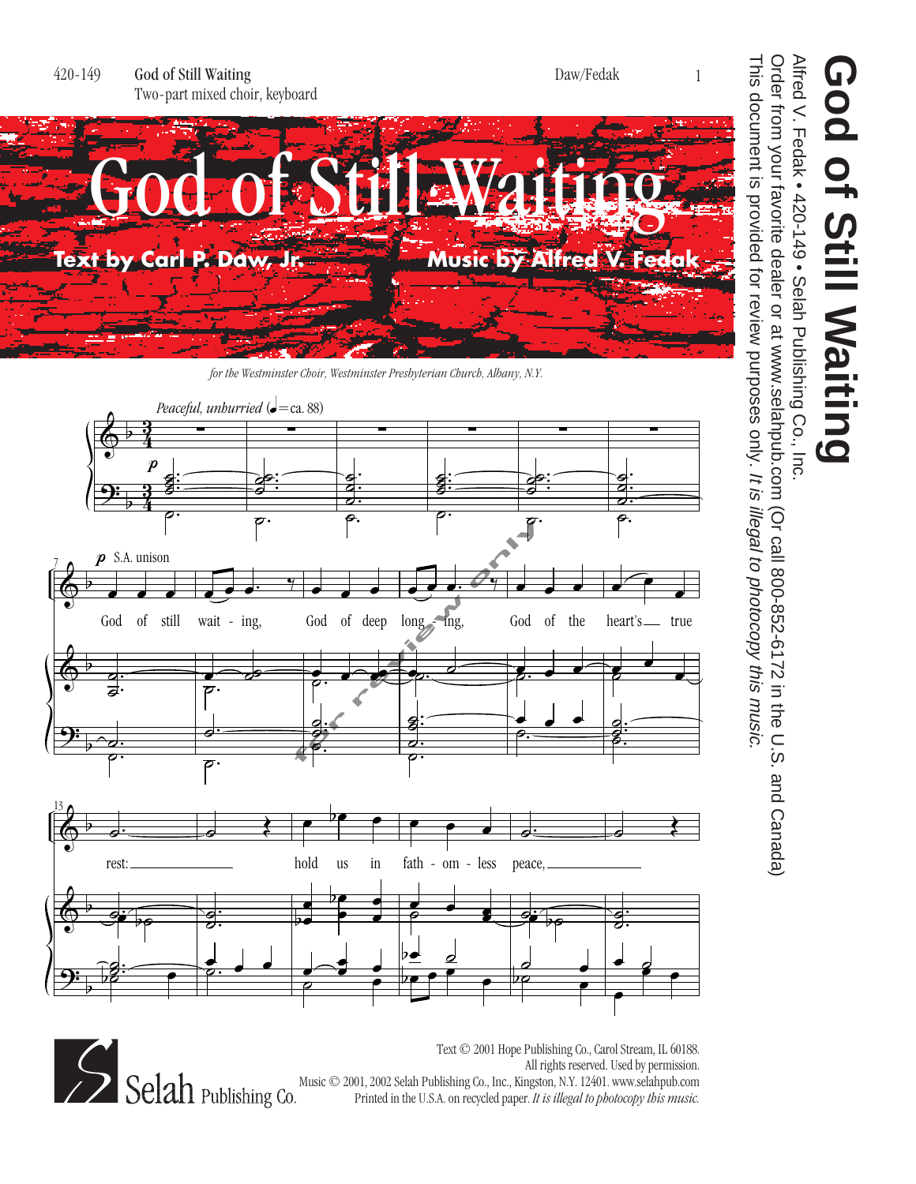



Text © 2001 Hope Publishing Co., Carol Stream, IL 60188. All rights reserved. Used by permission. All rights reserved. Used by permission.<br>
Selah Publishing Co., Inc., Kingston, N.Y. 12401. www.selahpub.com<br>
Printed in the U.S.A. on recycled paper. *It is illegal to photocopy this music*. Printed in the U.S.A. on recycled paper. *It is illegal to photocopy this music.*

## Alfred V. Fedak • 420-149 • Selah Publishing Co., Inc. **God of Still Waiting** God of Still Waiting

Alfred V. Fedak • 420-149 • Selah Publishing Co., Inc.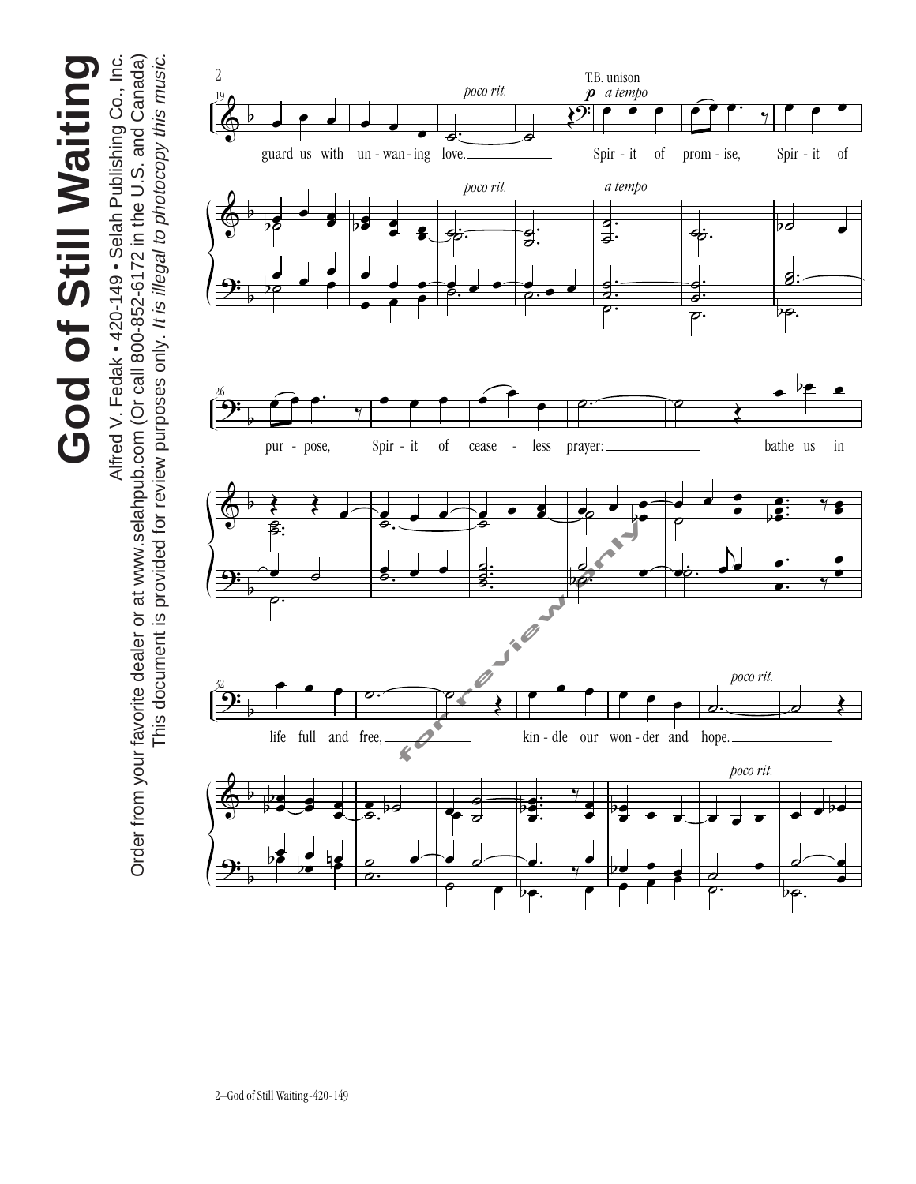God of Still Waiting **God of Still Waiting**

Alfred V. Fedak . 420-149 . Selah Publishing Co., Inc. Order from your favorite dealer or at www.selahpub.com (Or call 800-852-6172 in the U.S. and Canada) This document is provided for review purposes only. It is illegal to photocopy this music. This document is provided for review purposes only. It is illegal to photocopy this music. Alfred V. Fedak • 420-149 • Selah Publishing Co., Inc. Order from your favorite dealer or at www.selahpub.com (Or call 800-852-6172 in the U.S. and Canada)

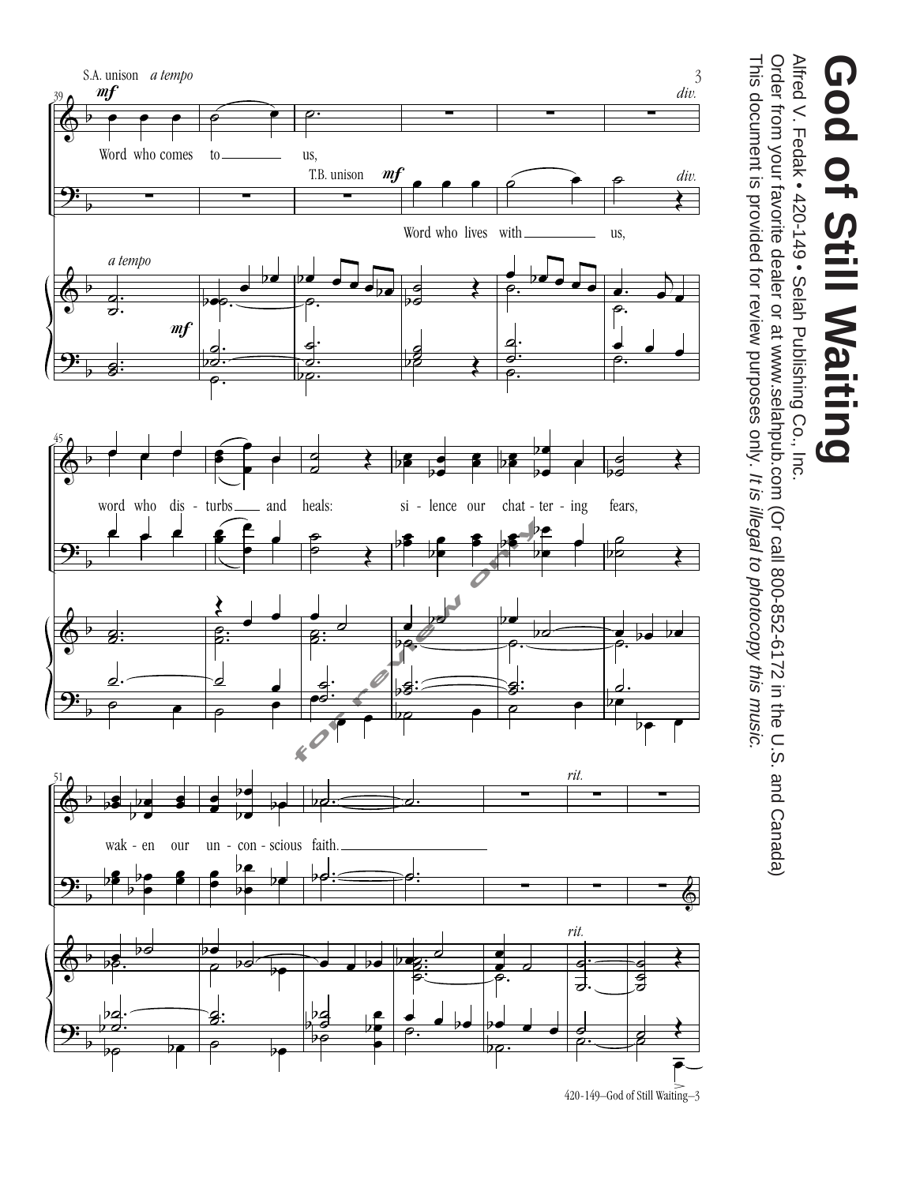

ing<br>.

## **God of Still Waiting** God of Still Waiting

Alfred V. Fedak • 420-149 • Selah Publishing Co., Inc. Alfred V. Fedak • 420-149 • Selah Publishing Co., Inc.

Order from your favorite dealer or at www.selahpub.com (Or call 800-852-6172 in the U.S. and Canada) This document is provided for review purposes only. It is illegal to photocopy this music. This document is provided for review purposes only. Order from your favorite dealer or at www.selahpub.com (Or call 800-852-6172 in the U.S. and Canada) It is illegal to photocopy this music.